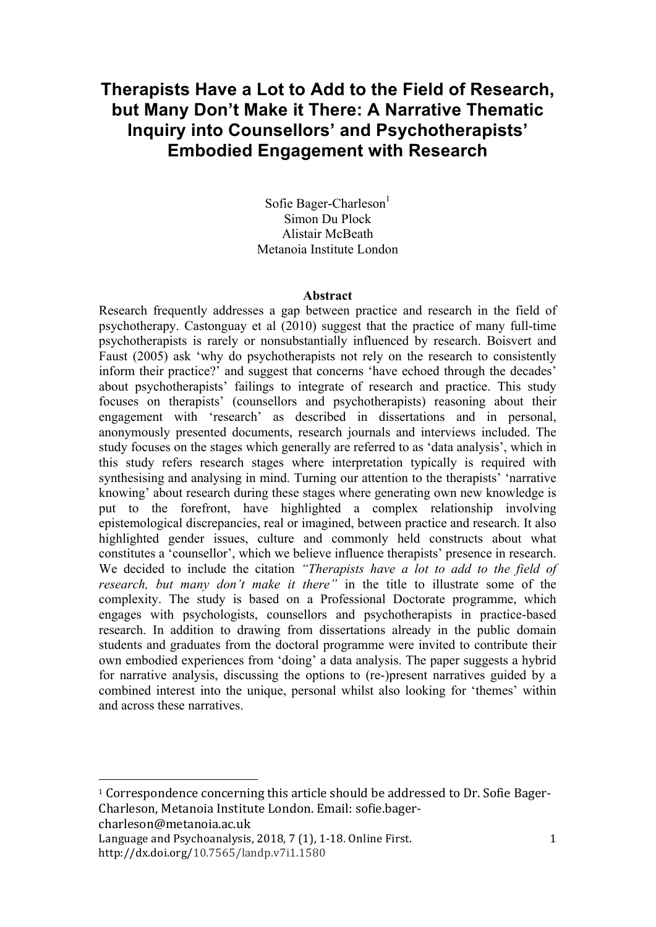## **Therapists Have a Lot to Add to the Field of Research, but Many Don't Make it There: A Narrative Thematic Inquiry into Counsellors' and Psychotherapists' Embodied Engagement with Research**

Sofie Bager-Charleson $<sup>1</sup>$ </sup> Simon Du Plock Alistair McBeath Metanoia Institute London

#### **Abstract**

Research frequently addresses a gap between practice and research in the field of psychotherapy. Castonguay et al (2010) suggest that the practice of many full-time psychotherapists is rarely or nonsubstantially influenced by research. Boisvert and Faust (2005) ask 'why do psychotherapists not rely on the research to consistently inform their practice?' and suggest that concerns 'have echoed through the decades' about psychotherapists' failings to integrate of research and practice. This study focuses on therapists' (counsellors and psychotherapists) reasoning about their engagement with 'research' as described in dissertations and in personal, anonymously presented documents, research journals and interviews included. The study focuses on the stages which generally are referred to as 'data analysis', which in this study refers research stages where interpretation typically is required with synthesising and analysing in mind. Turning our attention to the therapists' 'narrative knowing' about research during these stages where generating own new knowledge is put to the forefront, have highlighted a complex relationship involving epistemological discrepancies, real or imagined, between practice and research. It also highlighted gender issues, culture and commonly held constructs about what constitutes a 'counsellor', which we believe influence therapists' presence in research. We decided to include the citation *"Therapists have a lot to add to the field of research, but many don't make it there"* in the title to illustrate some of the complexity. The study is based on a Professional Doctorate programme, which engages with psychologists, counsellors and psychotherapists in practice-based research. In addition to drawing from dissertations already in the public domain students and graduates from the doctoral programme were invited to contribute their own embodied experiences from 'doing' a data analysis. The paper suggests a hybrid for narrative analysis, discussing the options to (re-)present narratives guided by a combined interest into the unique, personal whilst also looking for 'themes' within and across these narratives.

charleson@metanoia.ac.uk

<u> 1989 - Johann Stein, marwolaethau a bh</u>

<sup>&</sup>lt;sup>1</sup> Correspondence concerning this article should be addressed to Dr. Sofie Bager-Charleson, Metanoia Institute London. Email: sofie.bager-

Language and Psychoanalysis,  $2018, 7(1)$ , 1-18. Online First. http://dx.doi.org/10.7565/landp.v7i1.1580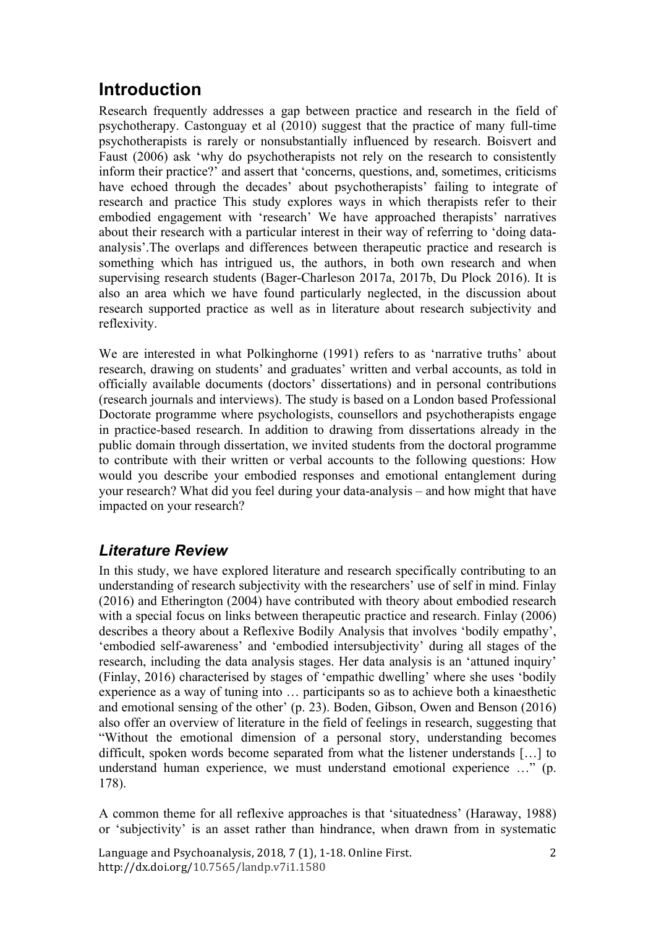# **Introduction**

Research frequently addresses a gap between practice and research in the field of psychotherapy. Castonguay et al (2010) suggest that the practice of many full-time psychotherapists is rarely or nonsubstantially influenced by research. Boisvert and Faust (2006) ask 'why do psychotherapists not rely on the research to consistently inform their practice?' and assert that 'concerns, questions, and, sometimes, criticisms have echoed through the decades' about psychotherapists' failing to integrate of research and practice This study explores ways in which therapists refer to their embodied engagement with 'research' We have approached therapists' narratives about their research with a particular interest in their way of referring to 'doing dataanalysis'.The overlaps and differences between therapeutic practice and research is something which has intrigued us, the authors, in both own research and when supervising research students (Bager-Charleson 2017a, 2017b, Du Plock 2016). It is also an area which we have found particularly neglected, in the discussion about research supported practice as well as in literature about research subjectivity and reflexivity.

We are interested in what Polkinghorne (1991) refers to as 'narrative truths' about research, drawing on students' and graduates' written and verbal accounts, as told in officially available documents (doctors' dissertations) and in personal contributions (research journals and interviews). The study is based on a London based Professional Doctorate programme where psychologists, counsellors and psychotherapists engage in practice-based research. In addition to drawing from dissertations already in the public domain through dissertation, we invited students from the doctoral programme to contribute with their written or verbal accounts to the following questions: How would you describe your embodied responses and emotional entanglement during your research? What did you feel during your data-analysis – and how might that have impacted on your research?

## *Literature Review*

In this study, we have explored literature and research specifically contributing to an understanding of research subjectivity with the researchers' use of self in mind. Finlay (2016) and Etherington (2004) have contributed with theory about embodied research with a special focus on links between therapeutic practice and research. Finlay (2006) describes a theory about a Reflexive Bodily Analysis that involves 'bodily empathy', 'embodied self-awareness' and 'embodied intersubjectivity' during all stages of the research, including the data analysis stages. Her data analysis is an 'attuned inquiry' (Finlay, 2016) characterised by stages of 'empathic dwelling' where she uses 'bodily experience as a way of tuning into … participants so as to achieve both a kinaesthetic and emotional sensing of the other' (p. 23). Boden, Gibson, Owen and Benson (2016) also offer an overview of literature in the field of feelings in research, suggesting that "Without the emotional dimension of a personal story, understanding becomes difficult, spoken words become separated from what the listener understands […] to understand human experience, we must understand emotional experience …" (p. 178).

A common theme for all reflexive approaches is that 'situatedness' (Haraway, 1988) or 'subjectivity' is an asset rather than hindrance, when drawn from in systematic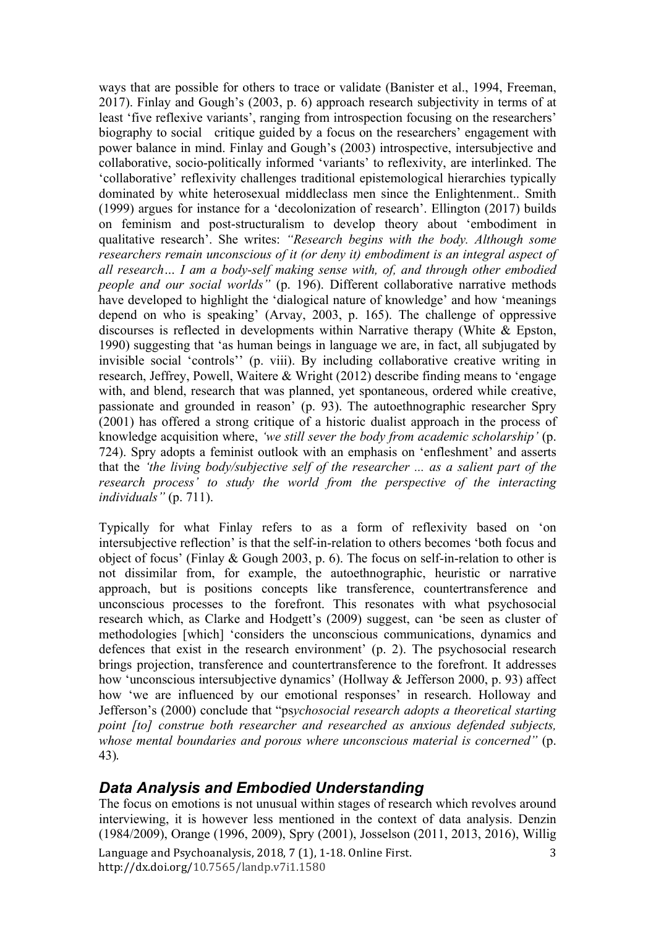ways that are possible for others to trace or validate (Banister et al., 1994, Freeman, 2017). Finlay and Gough's (2003, p. 6) approach research subjectivity in terms of at least 'five reflexive variants', ranging from introspection focusing on the researchers' biography to social critique guided by a focus on the researchers' engagement with power balance in mind. Finlay and Gough's (2003) introspective, intersubjective and collaborative, socio-politically informed 'variants' to reflexivity, are interlinked. The 'collaborative' reflexivity challenges traditional epistemological hierarchies typically dominated by white heterosexual middleclass men since the Enlightenment.. Smith (1999) argues for instance for a 'decolonization of research'. Ellington (2017) builds on feminism and post-structuralism to develop theory about 'embodiment in qualitative research'. She writes: *"Research begins with the body. Although some researchers remain unconscious of it (or deny it) embodiment is an integral aspect of all research… I am a body-self making sense with, of, and through other embodied people and our social worlds"* (p. 196). Different collaborative narrative methods have developed to highlight the 'dialogical nature of knowledge' and how 'meanings depend on who is speaking' (Arvay, 2003, p. 165). The challenge of oppressive discourses is reflected in developments within Narrative therapy (White & Epston, 1990) suggesting that 'as human beings in language we are, in fact, all subjugated by invisible social 'controls'' (p. viii). By including collaborative creative writing in research, Jeffrey, Powell, Waitere & Wright (2012) describe finding means to 'engage with, and blend, research that was planned, yet spontaneous, ordered while creative, passionate and grounded in reason' (p. 93). The autoethnographic researcher Spry (2001) has offered a strong critique of a historic dualist approach in the process of knowledge acquisition where, *'we still sever the body from academic scholarship'* (p. 724). Spry adopts a feminist outlook with an emphasis on 'enfleshment' and asserts that the *'the living body/subjective self of the researcher ... as a salient part of the research process' to study the world from the perspective of the interacting individuals"* (p. 711).

Typically for what Finlay refers to as a form of reflexivity based on 'on intersubjective reflection' is that the self-in-relation to others becomes 'both focus and object of focus' (Finlay & Gough 2003, p. 6). The focus on self-in-relation to other is not dissimilar from, for example, the autoethnographic, heuristic or narrative approach, but is positions concepts like transference, countertransference and unconscious processes to the forefront. This resonates with what psychosocial research which, as Clarke and Hodgett's (2009) suggest, can 'be seen as cluster of methodologies [which] 'considers the unconscious communications, dynamics and defences that exist in the research environment' (p. 2). The psychosocial research brings projection, transference and countertransference to the forefront. It addresses how 'unconscious intersubjective dynamics' (Hollway & Jefferson 2000, p. 93) affect how 'we are influenced by our emotional responses' in research. Holloway and Jefferson's (2000) conclude that "ps*ychosocial research adopts a theoretical starting point [to] construe both researcher and researched as anxious defended subjects, whose mental boundaries and porous where unconscious material is concerned"* (p. 43).

## *Data Analysis and Embodied Understanding*

Language and Psychoanalysis, 2018, 7 (1), 1-18. Online First. http://dx.doi.org/10.7565/landp.v7i1.1580 3 The focus on emotions is not unusual within stages of research which revolves around interviewing, it is however less mentioned in the context of data analysis. Denzin (1984/2009), Orange (1996, 2009), Spry (2001), Josselson (2011, 2013, 2016), Willig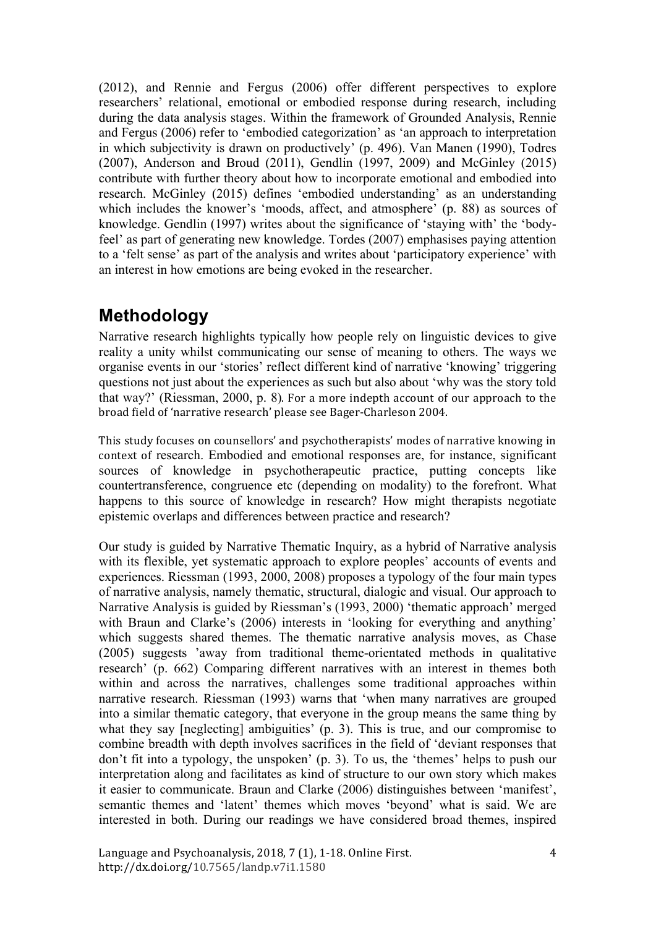(2012), and Rennie and Fergus (2006) offer different perspectives to explore researchers' relational, emotional or embodied response during research, including during the data analysis stages. Within the framework of Grounded Analysis, Rennie and Fergus (2006) refer to 'embodied categorization' as 'an approach to interpretation in which subjectivity is drawn on productively' (p. 496). Van Manen (1990), Todres (2007), Anderson and Broud (2011), Gendlin (1997, 2009) and McGinley (2015) contribute with further theory about how to incorporate emotional and embodied into research. McGinley (2015) defines 'embodied understanding' as an understanding which includes the knower's 'moods, affect, and atmosphere' (p. 88) as sources of knowledge. Gendlin (1997) writes about the significance of 'staying with' the 'bodyfeel' as part of generating new knowledge. Tordes (2007) emphasises paying attention to a 'felt sense' as part of the analysis and writes about 'participatory experience' with an interest in how emotions are being evoked in the researcher.

# **Methodology**

Narrative research highlights typically how people rely on linguistic devices to give reality a unity whilst communicating our sense of meaning to others. The ways we organise events in our 'stories' reflect different kind of narrative 'knowing' triggering questions not just about the experiences as such but also about 'why was the story told that way?' (Riessman, 2000, p. 8). For a more indepth account of our approach to the broad field of 'narrative research' please see Bager-Charleson 2004.

This study focuses on counsellors' and psychotherapists' modes of narrative knowing in context of research. Embodied and emotional responses are, for instance, significant sources of knowledge in psychotherapeutic practice, putting concepts like countertransference, congruence etc (depending on modality) to the forefront. What happens to this source of knowledge in research? How might therapists negotiate epistemic overlaps and differences between practice and research?

Our study is guided by Narrative Thematic Inquiry, as a hybrid of Narrative analysis with its flexible, yet systematic approach to explore peoples' accounts of events and experiences. Riessman (1993, 2000, 2008) proposes a typology of the four main types of narrative analysis, namely thematic, structural, dialogic and visual. Our approach to Narrative Analysis is guided by Riessman's (1993, 2000) 'thematic approach' merged with Braun and Clarke's (2006) interests in 'looking for everything and anything' which suggests shared themes. The thematic narrative analysis moves, as Chase (2005) suggests 'away from traditional theme-orientated methods in qualitative research' (p. 662) Comparing different narratives with an interest in themes both within and across the narratives, challenges some traditional approaches within narrative research. Riessman (1993) warns that 'when many narratives are grouped into a similar thematic category, that everyone in the group means the same thing by what they say [neglecting] ambiguities' (p. 3). This is true, and our compromise to combine breadth with depth involves sacrifices in the field of 'deviant responses that don't fit into a typology, the unspoken' (p. 3). To us, the 'themes' helps to push our interpretation along and facilitates as kind of structure to our own story which makes it easier to communicate. Braun and Clarke (2006) distinguishes between 'manifest', semantic themes and 'latent' themes which moves 'beyond' what is said. We are interested in both. During our readings we have considered broad themes, inspired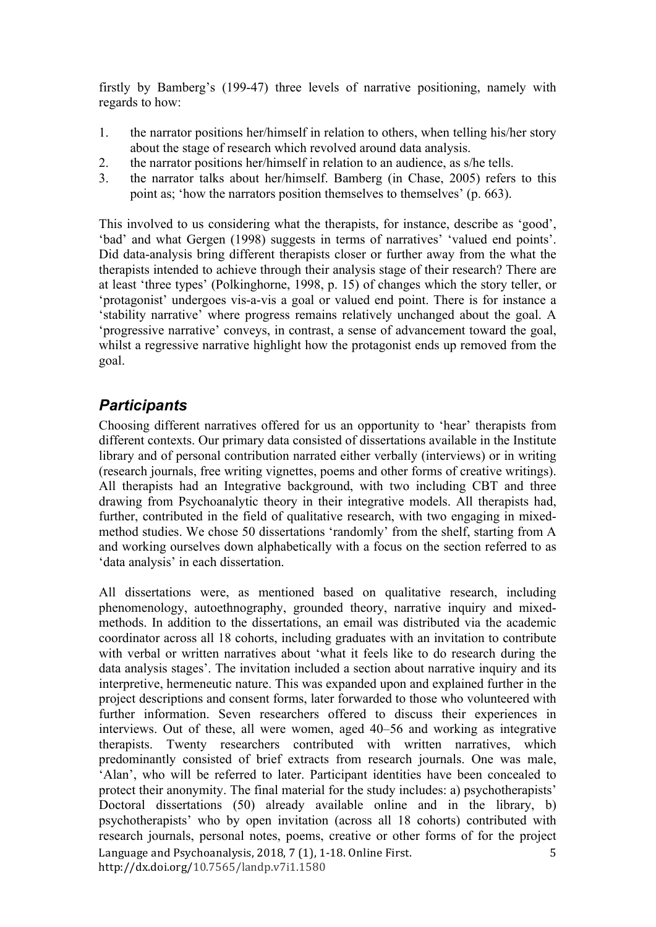firstly by Bamberg's (199-47) three levels of narrative positioning, namely with regards to how:

- 1. the narrator positions her/himself in relation to others, when telling his/her story about the stage of research which revolved around data analysis.
- 2. the narrator positions her/himself in relation to an audience, as s/he tells.
- 3. the narrator talks about her/himself. Bamberg (in Chase, 2005) refers to this point as; 'how the narrators position themselves to themselves' (p. 663).

This involved to us considering what the therapists, for instance, describe as 'good', 'bad' and what Gergen (1998) suggests in terms of narratives' 'valued end points'. Did data-analysis bring different therapists closer or further away from the what the therapists intended to achieve through their analysis stage of their research? There are at least 'three types' (Polkinghorne, 1998, p. 15) of changes which the story teller, or 'protagonist' undergoes vis-a-vis a goal or valued end point. There is for instance a 'stability narrative' where progress remains relatively unchanged about the goal. A 'progressive narrative' conveys, in contrast, a sense of advancement toward the goal, whilst a regressive narrative highlight how the protagonist ends up removed from the goal.

## *Participants*

Choosing different narratives offered for us an opportunity to 'hear' therapists from different contexts. Our primary data consisted of dissertations available in the Institute library and of personal contribution narrated either verbally (interviews) or in writing (research journals, free writing vignettes, poems and other forms of creative writings). All therapists had an Integrative background, with two including CBT and three drawing from Psychoanalytic theory in their integrative models. All therapists had, further, contributed in the field of qualitative research, with two engaging in mixedmethod studies. We chose 50 dissertations 'randomly' from the shelf, starting from A and working ourselves down alphabetically with a focus on the section referred to as 'data analysis' in each dissertation.

Language and Psychoanalysis, 2018, 7 (1), 1-18. Online First. http://dx.doi.org/10.7565/landp.v7i1.1580 5 All dissertations were, as mentioned based on qualitative research, including phenomenology, autoethnography, grounded theory, narrative inquiry and mixedmethods. In addition to the dissertations, an email was distributed via the academic coordinator across all 18 cohorts, including graduates with an invitation to contribute with verbal or written narratives about 'what it feels like to do research during the data analysis stages'. The invitation included a section about narrative inquiry and its interpretive, hermeneutic nature. This was expanded upon and explained further in the project descriptions and consent forms, later forwarded to those who volunteered with further information. Seven researchers offered to discuss their experiences in interviews. Out of these, all were women, aged 40–56 and working as integrative therapists. Twenty researchers contributed with written narratives, which predominantly consisted of brief extracts from research journals. One was male, 'Alan', who will be referred to later. Participant identities have been concealed to protect their anonymity. The final material for the study includes: a) psychotherapists' Doctoral dissertations (50) already available online and in the library, b) psychotherapists' who by open invitation (across all 18 cohorts) contributed with research journals, personal notes, poems, creative or other forms of for the project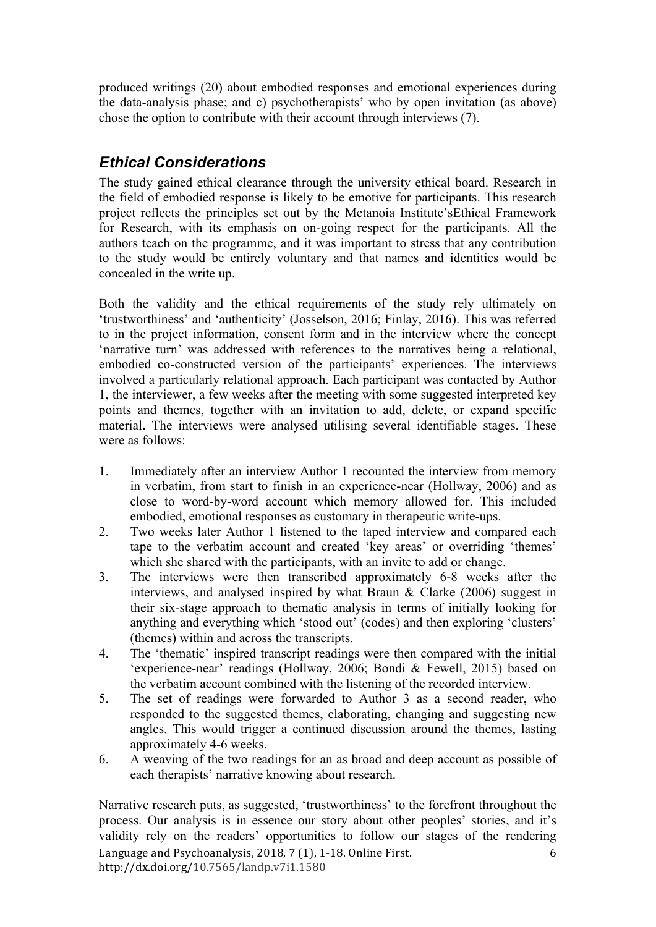produced writings (20) about embodied responses and emotional experiences during the data-analysis phase; and c) psychotherapists' who by open invitation (as above) chose the option to contribute with their account through interviews (7).

## *Ethical Considerations*

The study gained ethical clearance through the university ethical board. Research in the field of embodied response is likely to be emotive for participants. This research project reflects the principles set out by the Metanoia Institute'sEthical Framework for Research, with its emphasis on on-going respect for the participants. All the authors teach on the programme, and it was important to stress that any contribution to the study would be entirely voluntary and that names and identities would be concealed in the write up.

Both the validity and the ethical requirements of the study rely ultimately on 'trustworthiness' and 'authenticity' (Josselson, 2016; Finlay, 2016). This was referred to in the project information, consent form and in the interview where the concept 'narrative turn' was addressed with references to the narratives being a relational, embodied co-constructed version of the participants' experiences. The interviews involved a particularly relational approach. Each participant was contacted by Author 1, the interviewer, a few weeks after the meeting with some suggested interpreted key points and themes, together with an invitation to add, delete, or expand specific material**.** The interviews were analysed utilising several identifiable stages. These were as follows:

- 1. Immediately after an interview Author 1 recounted the interview from memory in verbatim, from start to finish in an experience-near (Hollway, 2006) and as close to word-by-word account which memory allowed for. This included embodied, emotional responses as customary in therapeutic write-ups.
- 2. Two weeks later Author 1 listened to the taped interview and compared each tape to the verbatim account and created 'key areas' or overriding 'themes' which she shared with the participants, with an invite to add or change.
- 3. The interviews were then transcribed approximately 6-8 weeks after the interviews, and analysed inspired by what Braun & Clarke (2006) suggest in their six-stage approach to thematic analysis in terms of initially looking for anything and everything which 'stood out' (codes) and then exploring 'clusters' (themes) within and across the transcripts.
- 4. The 'thematic' inspired transcript readings were then compared with the initial 'experience-near' readings (Hollway, 2006; Bondi & Fewell, 2015) based on the verbatim account combined with the listening of the recorded interview.
- 5. The set of readings were forwarded to Author 3 as a second reader, who responded to the suggested themes, elaborating, changing and suggesting new angles. This would trigger a continued discussion around the themes, lasting approximately 4-6 weeks.
- 6. A weaving of the two readings for an as broad and deep account as possible of each therapists' narrative knowing about research.

Language and Psychoanalysis, 2018, 7 (1), 1-18. Online First. http://dx.doi.org/10.7565/landp.v7i1.1580 6 Narrative research puts, as suggested, 'trustworthiness' to the forefront throughout the process. Our analysis is in essence our story about other peoples' stories, and it's validity rely on the readers' opportunities to follow our stages of the rendering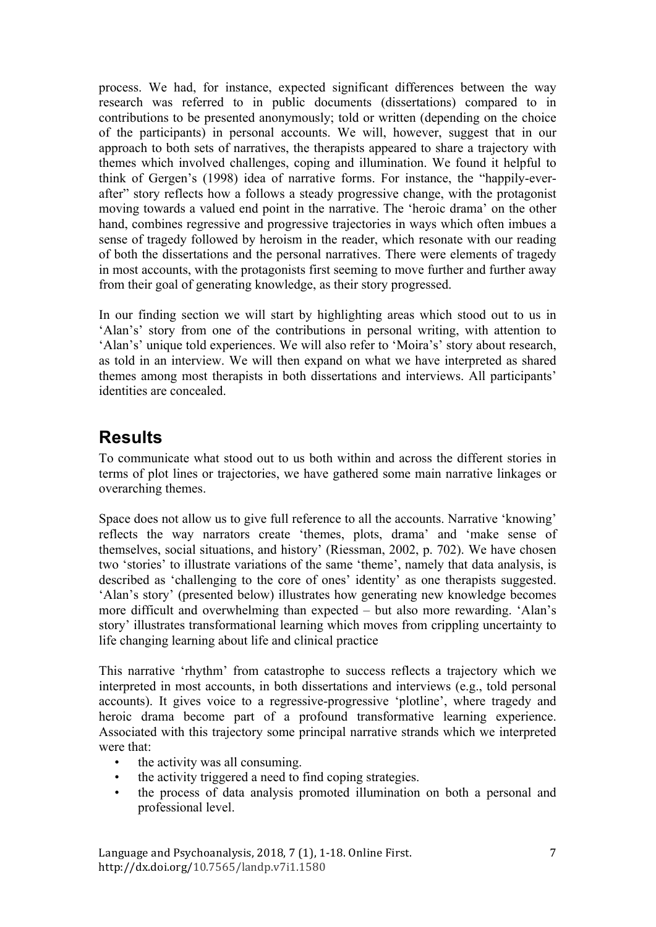process. We had, for instance, expected significant differences between the way research was referred to in public documents (dissertations) compared to in contributions to be presented anonymously; told or written (depending on the choice of the participants) in personal accounts. We will, however, suggest that in our approach to both sets of narratives, the therapists appeared to share a trajectory with themes which involved challenges, coping and illumination. We found it helpful to think of Gergen's (1998) idea of narrative forms. For instance, the "happily-everafter" story reflects how a follows a steady progressive change, with the protagonist moving towards a valued end point in the narrative. The 'heroic drama' on the other hand, combines regressive and progressive trajectories in ways which often imbues a sense of tragedy followed by heroism in the reader, which resonate with our reading of both the dissertations and the personal narratives. There were elements of tragedy in most accounts, with the protagonists first seeming to move further and further away from their goal of generating knowledge, as their story progressed.

In our finding section we will start by highlighting areas which stood out to us in 'Alan's' story from one of the contributions in personal writing, with attention to 'Alan's' unique told experiences. We will also refer to 'Moira's' story about research, as told in an interview. We will then expand on what we have interpreted as shared themes among most therapists in both dissertations and interviews. All participants' identities are concealed.

## **Results**

To communicate what stood out to us both within and across the different stories in terms of plot lines or trajectories, we have gathered some main narrative linkages or overarching themes.

Space does not allow us to give full reference to all the accounts. Narrative 'knowing' reflects the way narrators create 'themes, plots, drama' and 'make sense of themselves, social situations, and history' (Riessman, 2002, p. 702). We have chosen two 'stories' to illustrate variations of the same 'theme', namely that data analysis, is described as 'challenging to the core of ones' identity' as one therapists suggested. 'Alan's story' (presented below) illustrates how generating new knowledge becomes more difficult and overwhelming than expected – but also more rewarding. 'Alan's story' illustrates transformational learning which moves from crippling uncertainty to life changing learning about life and clinical practice

This narrative 'rhythm' from catastrophe to success reflects a trajectory which we interpreted in most accounts, in both dissertations and interviews (e.g., told personal accounts). It gives voice to a regressive-progressive 'plotline', where tragedy and heroic drama become part of a profound transformative learning experience. Associated with this trajectory some principal narrative strands which we interpreted were that:

- the activity was all consuming.
- the activity triggered a need to find coping strategies.
- the process of data analysis promoted illumination on both a personal and professional level.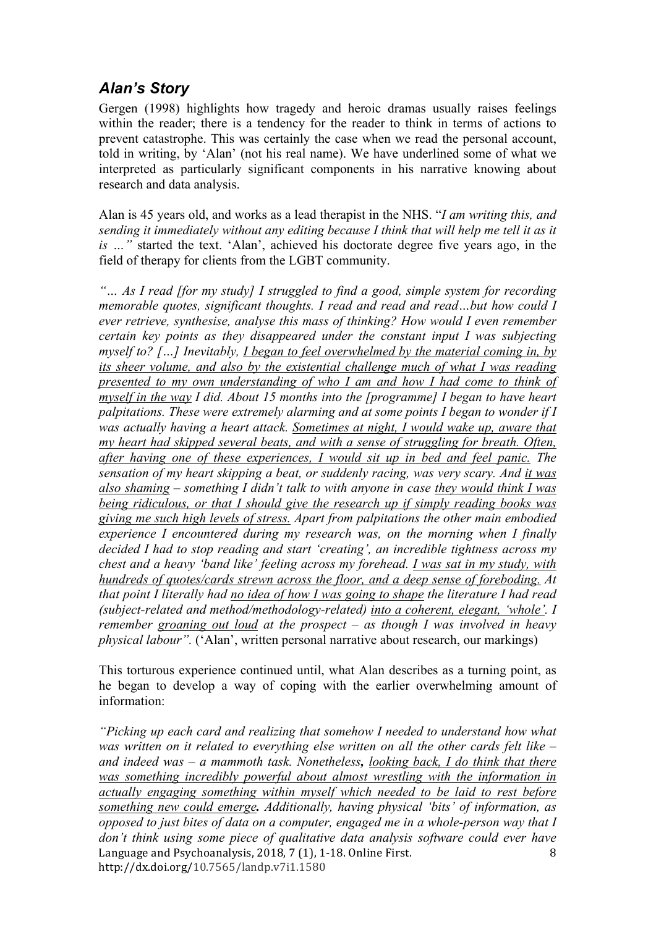## *Alan's Story*

Gergen (1998) highlights how tragedy and heroic dramas usually raises feelings within the reader; there is a tendency for the reader to think in terms of actions to prevent catastrophe. This was certainly the case when we read the personal account, told in writing, by 'Alan' (not his real name). We have underlined some of what we interpreted as particularly significant components in his narrative knowing about research and data analysis.

Alan is 45 years old, and works as a lead therapist in the NHS. "*I am writing this, and sending it immediately without any editing because I think that will help me tell it as it is …"* started the text. 'Alan', achieved his doctorate degree five years ago, in the field of therapy for clients from the LGBT community.

*"… As I read [for my study] I struggled to find a good, simple system for recording memorable quotes, significant thoughts. I read and read and read…but how could I ever retrieve, synthesise, analyse this mass of thinking? How would I even remember certain key points as they disappeared under the constant input I was subjecting myself to? […] Inevitably, I began to feel overwhelmed by the material coming in, by its sheer volume, and also by the existential challenge much of what I was reading presented to my own understanding of who I am and how I had come to think of myself in the way I did. About 15 months into the [programme] I began to have heart palpitations. These were extremely alarming and at some points I began to wonder if I was actually having a heart attack. Sometimes at night, I would wake up, aware that my heart had skipped several beats, and with a sense of struggling for breath. Often, after having one of these experiences, I would sit up in bed and feel panic. The sensation of my heart skipping a beat, or suddenly racing, was very scary. And it was also shaming – something I didn't talk to with anyone in case they would think I was being ridiculous, or that I should give the research up if simply reading books was giving me such high levels of stress. Apart from palpitations the other main embodied experience I encountered during my research was, on the morning when I finally decided I had to stop reading and start 'creating', an incredible tightness across my chest and a heavy 'band like' feeling across my forehead. I was sat in my study, with hundreds of quotes/cards strewn across the floor, and a deep sense of foreboding. At that point I literally had no idea of how I was going to shape the literature I had read (subject-related and method/methodology-related) into a coherent, elegant, 'whole'. I remember groaning out loud at the prospect – as though I was involved in heavy physical labour".* ('Alan', written personal narrative about research, our markings)

This torturous experience continued until, what Alan describes as a turning point, as he began to develop a way of coping with the earlier overwhelming amount of information:

Language and Psychoanalysis,  $2018, 7(1)$ , 1-18. Online First. http://dx.doi.org/10.7565/landp.v7i1.1580 8 *"Picking up each card and realizing that somehow I needed to understand how what was written on it related to everything else written on all the other cards felt like – and indeed was – a mammoth task. Nonetheless, looking back, I do think that there was something incredibly powerful about almost wrestling with the information in actually engaging something within myself which needed to be laid to rest before something new could emerge. Additionally, having physical 'bits' of information, as opposed to just bites of data on a computer, engaged me in a whole-person way that I don't think using some piece of qualitative data analysis software could ever have*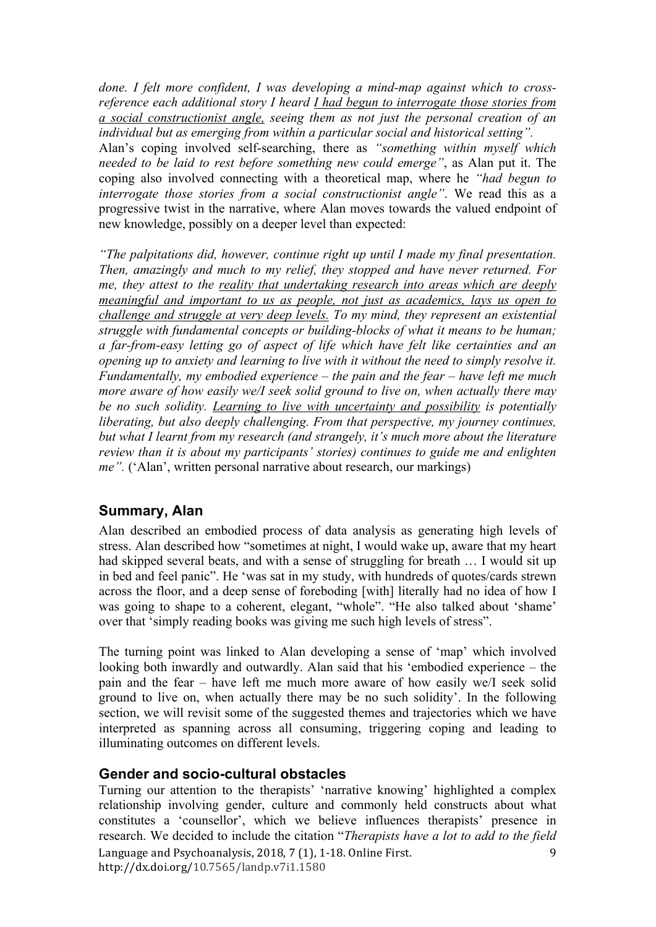*done. I felt more confident, I was developing a mind-map against which to crossreference each additional story I heard I had begun to interrogate those stories from a social constructionist angle, seeing them as not just the personal creation of an individual but as emerging from within a particular social and historical setting".*

Alan's coping involved self-searching, there as *"something within myself which needed to be laid to rest before something new could emerge"*, as Alan put it. The coping also involved connecting with a theoretical map, where he *"had begun to interrogate those stories from a social constructionist angle"*. We read this as a progressive twist in the narrative, where Alan moves towards the valued endpoint of new knowledge, possibly on a deeper level than expected:

*"The palpitations did, however, continue right up until I made my final presentation. Then, amazingly and much to my relief, they stopped and have never returned. For me, they attest to the reality that undertaking research into areas which are deeply meaningful and important to us as people, not just as academics, lays us open to challenge and struggle at very deep levels. To my mind, they represent an existential struggle with fundamental concepts or building-blocks of what it means to be human; a far-from-easy letting go of aspect of life which have felt like certainties and an opening up to anxiety and learning to live with it without the need to simply resolve it. Fundamentally, my embodied experience – the pain and the fear – have left me much more aware of how easily we/I seek solid ground to live on, when actually there may be no such solidity. Learning to live with uncertainty and possibility is potentially liberating, but also deeply challenging. From that perspective, my journey continues, but what I learnt from my research (and strangely, it's much more about the literature review than it is about my participants' stories) continues to guide me and enlighten me".* ('Alan', written personal narrative about research, our markings)

#### **Summary, Alan**

Alan described an embodied process of data analysis as generating high levels of stress. Alan described how "sometimes at night, I would wake up, aware that my heart had skipped several beats, and with a sense of struggling for breath … I would sit up in bed and feel panic". He 'was sat in my study, with hundreds of quotes/cards strewn across the floor, and a deep sense of foreboding [with] literally had no idea of how I was going to shape to a coherent, elegant, "whole". "He also talked about 'shame' over that 'simply reading books was giving me such high levels of stress".

The turning point was linked to Alan developing a sense of 'map' which involved looking both inwardly and outwardly. Alan said that his 'embodied experience – the pain and the fear – have left me much more aware of how easily we/I seek solid ground to live on, when actually there may be no such solidity'. In the following section, we will revisit some of the suggested themes and trajectories which we have interpreted as spanning across all consuming, triggering coping and leading to illuminating outcomes on different levels.

#### **Gender and socio-cultural obstacles**

Language and Psychoanalysis, 2018, 7 (1), 1-18. Online First. http://dx.doi.org/10.7565/landp.v7i1.1580 9 Turning our attention to the therapists' 'narrative knowing' highlighted a complex relationship involving gender, culture and commonly held constructs about what constitutes a 'counsellor', which we believe influences therapists' presence in research. We decided to include the citation "*Therapists have a lot to add to the field*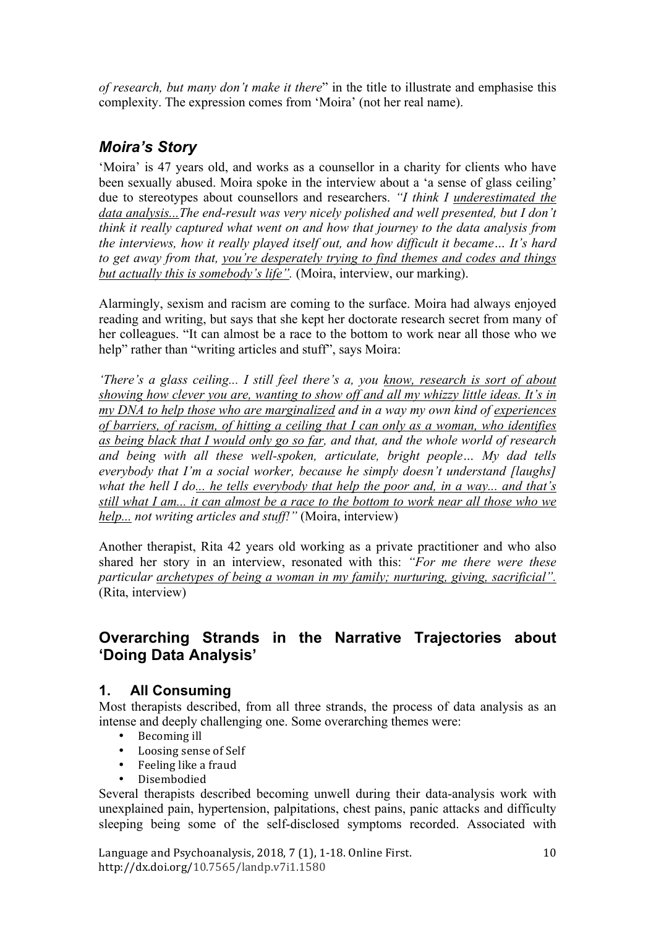*of research, but many don't make it there*" in the title to illustrate and emphasise this complexity. The expression comes from 'Moira' (not her real name).

## *Moira's Story*

'Moira' is 47 years old, and works as a counsellor in a charity for clients who have been sexually abused. Moira spoke in the interview about a 'a sense of glass ceiling' due to stereotypes about counsellors and researchers. *"I think I underestimated the data analysis...The end-result was very nicely polished and well presented, but I don't think it really captured what went on and how that journey to the data analysis from the interviews, how it really played itself out, and how difficult it became… It's hard to get away from that, you're desperately trying to find themes and codes and things but actually this is somebody's life".* (Moira, interview, our marking).

Alarmingly, sexism and racism are coming to the surface. Moira had always enjoyed reading and writing, but says that she kept her doctorate research secret from many of her colleagues. "It can almost be a race to the bottom to work near all those who we help" rather than "writing articles and stuff", says Moira:

*'There's a glass ceiling... I still feel there's a, you know, research is sort of about showing how clever you are, wanting to show off and all my whizzy little ideas. It's in my DNA to help those who are marginalized and in a way my own kind of experiences of barriers, of racism, of hitting a ceiling that I can only as a woman, who identifies as being black that I would only go so far, and that, and the whole world of research and being with all these well-spoken, articulate, bright people… My dad tells everybody that I'm a social worker, because he simply doesn't understand [laughs] what the hell I do... he tells everybody that help the poor and, in a way... and that's still what I am... it can almost be a race to the bottom to work near all those who we help... not writing articles and stuff!"* (Moira, interview)

Another therapist, Rita 42 years old working as a private practitioner and who also shared her story in an interview, resonated with this: *"For me there were these particular archetypes of being a woman in my family; nurturing, giving, sacrificial".* (Rita, interview)

## **Overarching Strands in the Narrative Trajectories about 'Doing Data Analysis'**

## **1. All Consuming**

Most therapists described, from all three strands, the process of data analysis as an intense and deeply challenging one. Some overarching themes were:

- Becoming ill
- Loosing sense of Self<br>• Fooling like a fraud
- Feeling like a fraud
- Disembodied

Several therapists described becoming unwell during their data-analysis work with unexplained pain, hypertension, palpitations, chest pains, panic attacks and difficulty sleeping being some of the self-disclosed symptoms recorded. Associated with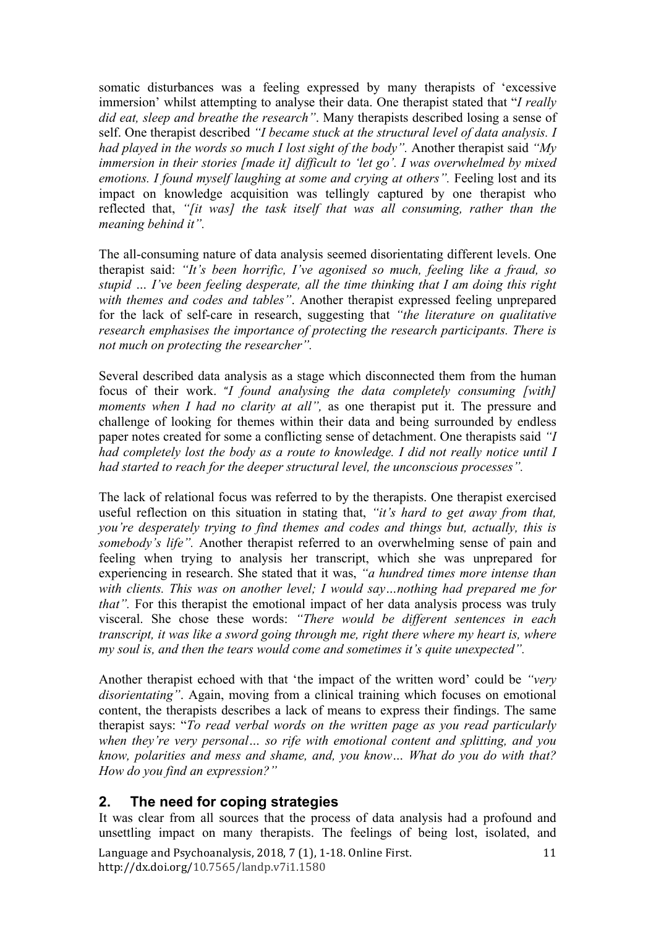somatic disturbances was a feeling expressed by many therapists of 'excessive immersion' whilst attempting to analyse their data. One therapist stated that "*I really did eat, sleep and breathe the research"*. Many therapists described losing a sense of self. One therapist described *"I became stuck at the structural level of data analysis. I had played in the words so much I lost sight of the body".* Another therapist said *"My immersion in their stories [made it] difficult to 'let go'. I was overwhelmed by mixed emotions. I found myself laughing at some and crying at others".* Feeling lost and its impact on knowledge acquisition was tellingly captured by one therapist who reflected that, *"[it was] the task itself that was all consuming, rather than the meaning behind it".*

The all-consuming nature of data analysis seemed disorientating different levels. One therapist said: *"It's been horrific, I've agonised so much, feeling like a fraud, so stupid … I've been feeling desperate, all the time thinking that I am doing this right with themes and codes and tables"*. Another therapist expressed feeling unprepared for the lack of self-care in research, suggesting that *"the literature on qualitative research emphasises the importance of protecting the research participants. There is not much on protecting the researcher".*

Several described data analysis as a stage which disconnected them from the human focus of their work. "*I found analysing the data completely consuming [with] moments when I had no clarity at all*", as one therapist put it. The pressure and challenge of looking for themes within their data and being surrounded by endless paper notes created for some a conflicting sense of detachment. One therapists said *"I had completely lost the body as a route to knowledge. I did not really notice until I had started to reach for the deeper structural level, the unconscious processes".*

The lack of relational focus was referred to by the therapists. One therapist exercised useful reflection on this situation in stating that, *"it's hard to get away from that, you're desperately trying to find themes and codes and things but, actually, this is somebody's life".* Another therapist referred to an overwhelming sense of pain and feeling when trying to analysis her transcript, which she was unprepared for experiencing in research. She stated that it was, *"a hundred times more intense than with clients. This was on another level; I would say…nothing had prepared me for that*". For this therapist the emotional impact of her data analysis process was truly visceral. She chose these words: *"There would be different sentences in each transcript, it was like a sword going through me, right there where my heart is, where my soul is, and then the tears would come and sometimes it's quite unexpected".*

Another therapist echoed with that 'the impact of the written word' could be *"very disorientating"*. Again, moving from a clinical training which focuses on emotional content, the therapists describes a lack of means to express their findings. The same therapist says: "*To read verbal words on the written page as you read particularly when they're very personal… so rife with emotional content and splitting, and you know, polarities and mess and shame, and, you know… What do you do with that? How do you find an expression?"*

#### **2. The need for coping strategies**

It was clear from all sources that the process of data analysis had a profound and unsettling impact on many therapists. The feelings of being lost, isolated, and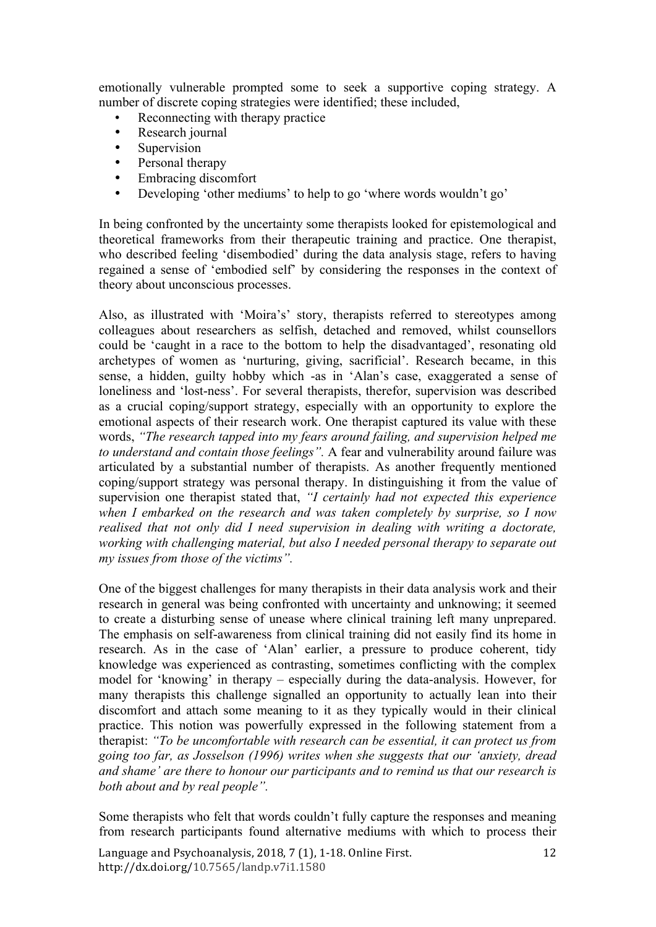emotionally vulnerable prompted some to seek a supportive coping strategy. A number of discrete coping strategies were identified; these included,

- Reconnecting with therapy practice<br>• Research journal
- Research journal
- Supervision
- Personal therapy
- Embracing discomfort<br>• Developing 'other med
- Developing 'other mediums' to help to go 'where words wouldn't go'

In being confronted by the uncertainty some therapists looked for epistemological and theoretical frameworks from their therapeutic training and practice. One therapist, who described feeling 'disembodied' during the data analysis stage, refers to having regained a sense of 'embodied self' by considering the responses in the context of theory about unconscious processes.

Also, as illustrated with 'Moira's' story, therapists referred to stereotypes among colleagues about researchers as selfish, detached and removed, whilst counsellors could be 'caught in a race to the bottom to help the disadvantaged', resonating old archetypes of women as 'nurturing, giving, sacrificial'. Research became, in this sense, a hidden, guilty hobby which -as in 'Alan's case, exaggerated a sense of loneliness and 'lost-ness'. For several therapists, therefor, supervision was described as a crucial coping/support strategy, especially with an opportunity to explore the emotional aspects of their research work. One therapist captured its value with these words, *"The research tapped into my fears around failing, and supervision helped me to understand and contain those feelings".* A fear and vulnerability around failure was articulated by a substantial number of therapists. As another frequently mentioned coping/support strategy was personal therapy. In distinguishing it from the value of supervision one therapist stated that, *"I certainly had not expected this experience when I embarked on the research and was taken completely by surprise, so I now realised that not only did I need supervision in dealing with writing a doctorate, working with challenging material, but also I needed personal therapy to separate out my issues from those of the victims".*

One of the biggest challenges for many therapists in their data analysis work and their research in general was being confronted with uncertainty and unknowing; it seemed to create a disturbing sense of unease where clinical training left many unprepared. The emphasis on self-awareness from clinical training did not easily find its home in research. As in the case of 'Alan' earlier, a pressure to produce coherent, tidy knowledge was experienced as contrasting, sometimes conflicting with the complex model for 'knowing' in therapy – especially during the data-analysis. However, for many therapists this challenge signalled an opportunity to actually lean into their discomfort and attach some meaning to it as they typically would in their clinical practice. This notion was powerfully expressed in the following statement from a therapist: *"To be uncomfortable with research can be essential, it can protect us from going too far, as Josselson (1996) writes when she suggests that our 'anxiety, dread and shame' are there to honour our participants and to remind us that our research is both about and by real people".*

Some therapists who felt that words couldn't fully capture the responses and meaning from research participants found alternative mediums with which to process their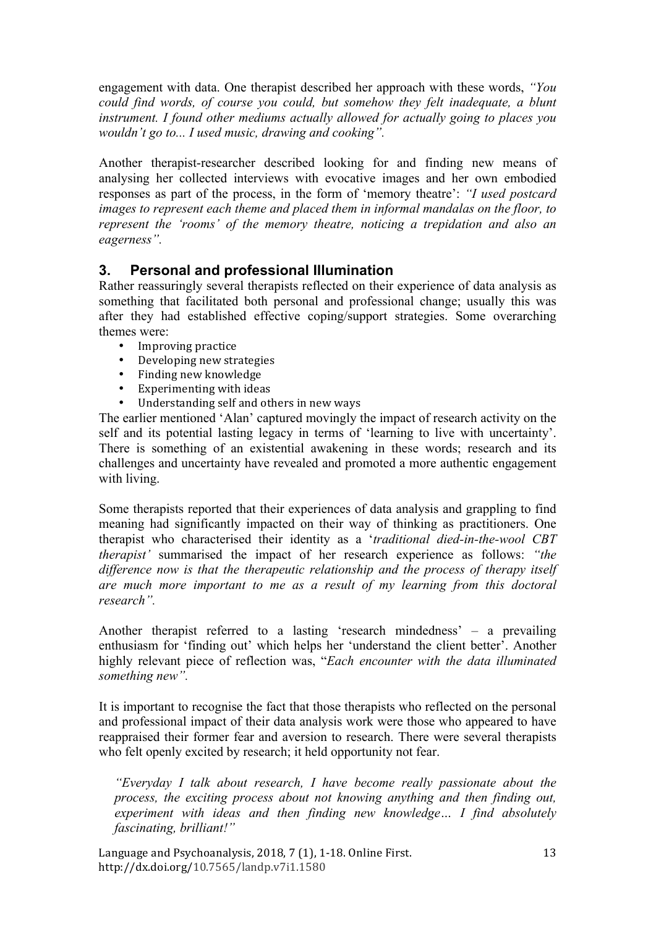engagement with data. One therapist described her approach with these words, *"You could find words, of course you could, but somehow they felt inadequate, a blunt instrument. I found other mediums actually allowed for actually going to places you wouldn't go to... I used music, drawing and cooking".*

Another therapist-researcher described looking for and finding new means of analysing her collected interviews with evocative images and her own embodied responses as part of the process, in the form of 'memory theatre': *"I used postcard images to represent each theme and placed them in informal mandalas on the floor, to represent the 'rooms' of the memory theatre, noticing a trepidation and also an eagerness".*

### **3. Personal and professional Illumination**

Rather reassuringly several therapists reflected on their experience of data analysis as something that facilitated both personal and professional change; usually this was after they had established effective coping/support strategies. Some overarching themes were:

- Improving practice<br>• Developing new str
- Developing new strategies
- Finding new knowledge<br>• Experimenting with idea
- Experimenting with ideas
- Understanding self and others in new ways

The earlier mentioned 'Alan' captured movingly the impact of research activity on the self and its potential lasting legacy in terms of 'learning to live with uncertainty'. There is something of an existential awakening in these words; research and its challenges and uncertainty have revealed and promoted a more authentic engagement with living.

Some therapists reported that their experiences of data analysis and grappling to find meaning had significantly impacted on their way of thinking as practitioners. One therapist who characterised their identity as a '*traditional died-in-the-wool CBT therapist'* summarised the impact of her research experience as follows: *"the difference now is that the therapeutic relationship and the process of therapy itself are much more important to me as a result of my learning from this doctoral research".* 

Another therapist referred to a lasting 'research mindedness' – a prevailing enthusiasm for 'finding out' which helps her 'understand the client better'. Another highly relevant piece of reflection was, "*Each encounter with the data illuminated something new".*

It is important to recognise the fact that those therapists who reflected on the personal and professional impact of their data analysis work were those who appeared to have reappraised their former fear and aversion to research. There were several therapists who felt openly excited by research; it held opportunity not fear.

*"Everyday I talk about research, I have become really passionate about the process, the exciting process about not knowing anything and then finding out, experiment with ideas and then finding new knowledge… I find absolutely fascinating, brilliant!"*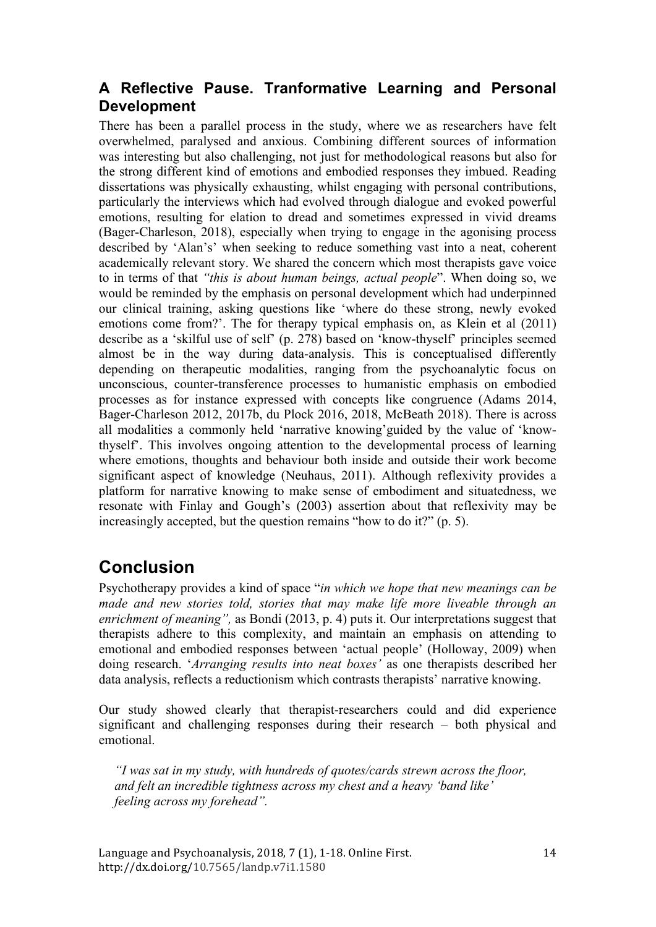### **A Reflective Pause. Tranformative Learning and Personal Development**

There has been a parallel process in the study, where we as researchers have felt overwhelmed, paralysed and anxious. Combining different sources of information was interesting but also challenging, not just for methodological reasons but also for the strong different kind of emotions and embodied responses they imbued. Reading dissertations was physically exhausting, whilst engaging with personal contributions, particularly the interviews which had evolved through dialogue and evoked powerful emotions, resulting for elation to dread and sometimes expressed in vivid dreams (Bager-Charleson, 2018), especially when trying to engage in the agonising process described by 'Alan's' when seeking to reduce something vast into a neat, coherent academically relevant story. We shared the concern which most therapists gave voice to in terms of that *"this is about human beings, actual people*". When doing so, we would be reminded by the emphasis on personal development which had underpinned our clinical training, asking questions like 'where do these strong, newly evoked emotions come from?'. The for therapy typical emphasis on, as Klein et al (2011) describe as a 'skilful use of self' (p. 278) based on 'know-thyself' principles seemed almost be in the way during data-analysis. This is conceptualised differently depending on therapeutic modalities, ranging from the psychoanalytic focus on unconscious, counter-transference processes to humanistic emphasis on embodied processes as for instance expressed with concepts like congruence (Adams 2014, Bager-Charleson 2012, 2017b, du Plock 2016, 2018, McBeath 2018). There is across all modalities a commonly held 'narrative knowing'guided by the value of 'knowthyself'. This involves ongoing attention to the developmental process of learning where emotions, thoughts and behaviour both inside and outside their work become significant aspect of knowledge (Neuhaus, 2011). Although reflexivity provides a platform for narrative knowing to make sense of embodiment and situatedness, we resonate with Finlay and Gough's (2003) assertion about that reflexivity may be increasingly accepted, but the question remains "how to do it?" (p. 5).

## **Conclusion**

Psychotherapy provides a kind of space "*in which we hope that new meanings can be made and new stories told, stories that may make life more liveable through an enrichment of meaning",* as Bondi (2013, p. 4) puts it. Our interpretations suggest that therapists adhere to this complexity, and maintain an emphasis on attending to emotional and embodied responses between 'actual people' (Holloway, 2009) when doing research. '*Arranging results into neat boxes'* as one therapists described her data analysis, reflects a reductionism which contrasts therapists' narrative knowing.

Our study showed clearly that therapist-researchers could and did experience significant and challenging responses during their research – both physical and emotional.

*"I was sat in my study, with hundreds of quotes/cards strewn across the floor, and felt an incredible tightness across my chest and a heavy 'band like' feeling across my forehead".*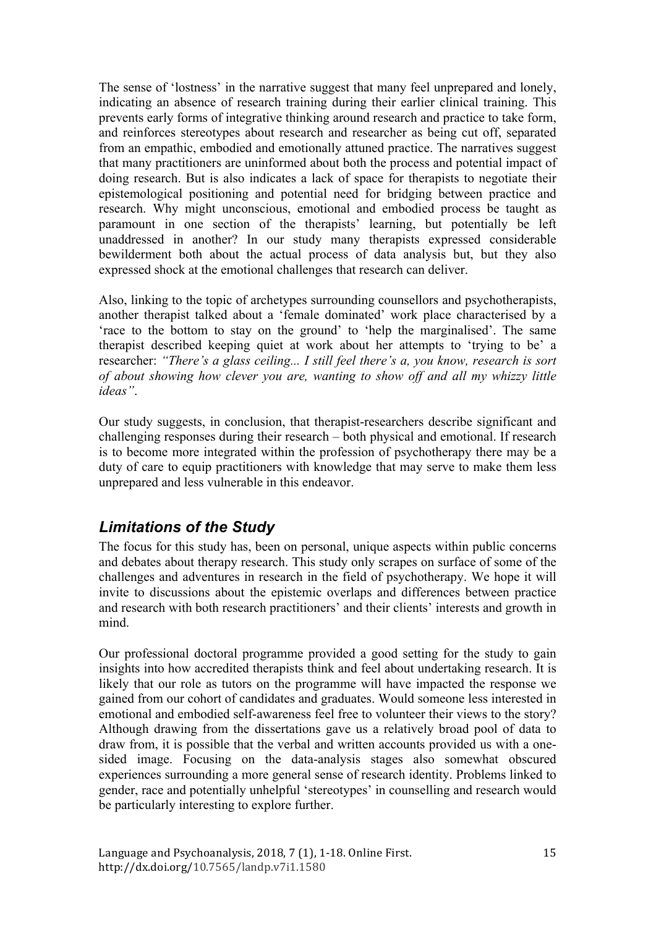The sense of 'lostness' in the narrative suggest that many feel unprepared and lonely, indicating an absence of research training during their earlier clinical training. This prevents early forms of integrative thinking around research and practice to take form, and reinforces stereotypes about research and researcher as being cut off, separated from an empathic, embodied and emotionally attuned practice. The narratives suggest that many practitioners are uninformed about both the process and potential impact of doing research. But is also indicates a lack of space for therapists to negotiate their epistemological positioning and potential need for bridging between practice and research. Why might unconscious, emotional and embodied process be taught as paramount in one section of the therapists' learning, but potentially be left unaddressed in another? In our study many therapists expressed considerable bewilderment both about the actual process of data analysis but, but they also expressed shock at the emotional challenges that research can deliver.

Also, linking to the topic of archetypes surrounding counsellors and psychotherapists, another therapist talked about a 'female dominated' work place characterised by a 'race to the bottom to stay on the ground' to 'help the marginalised'. The same therapist described keeping quiet at work about her attempts to 'trying to be' a researcher: *"There's a glass ceiling... I still feel there's a, you know, research is sort of about showing how clever you are, wanting to show off and all my whizzy little ideas"*.

Our study suggests, in conclusion, that therapist-researchers describe significant and challenging responses during their research – both physical and emotional. If research is to become more integrated within the profession of psychotherapy there may be a duty of care to equip practitioners with knowledge that may serve to make them less unprepared and less vulnerable in this endeavor.

## *Limitations of the Study*

The focus for this study has, been on personal, unique aspects within public concerns and debates about therapy research. This study only scrapes on surface of some of the challenges and adventures in research in the field of psychotherapy. We hope it will invite to discussions about the epistemic overlaps and differences between practice and research with both research practitioners' and their clients' interests and growth in mind.

Our professional doctoral programme provided a good setting for the study to gain insights into how accredited therapists think and feel about undertaking research. It is likely that our role as tutors on the programme will have impacted the response we gained from our cohort of candidates and graduates. Would someone less interested in emotional and embodied self-awareness feel free to volunteer their views to the story? Although drawing from the dissertations gave us a relatively broad pool of data to draw from, it is possible that the verbal and written accounts provided us with a onesided image. Focusing on the data-analysis stages also somewhat obscured experiences surrounding a more general sense of research identity. Problems linked to gender, race and potentially unhelpful 'stereotypes' in counselling and research would be particularly interesting to explore further.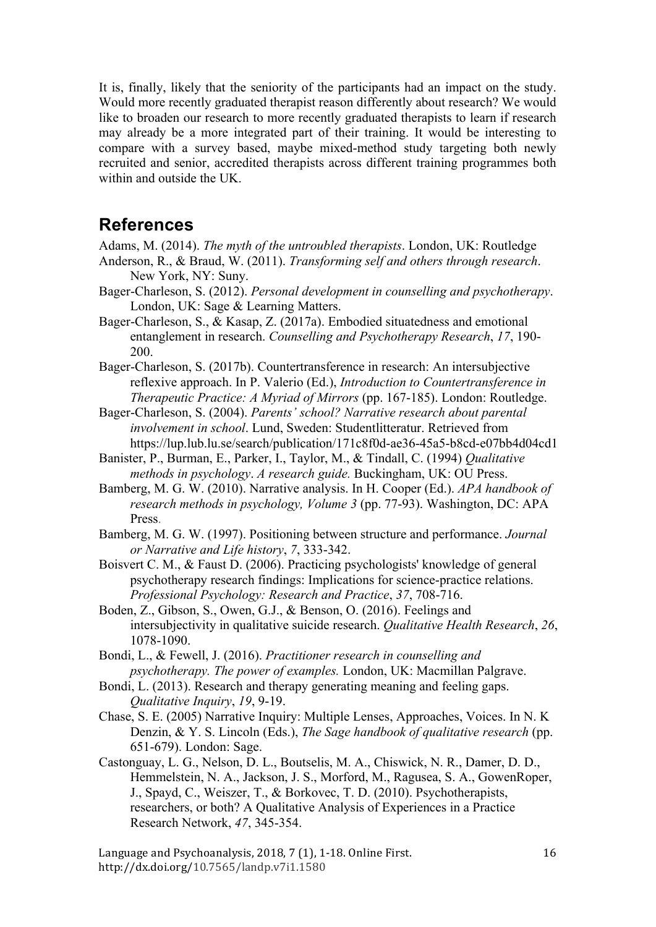It is, finally, likely that the seniority of the participants had an impact on the study. Would more recently graduated therapist reason differently about research? We would like to broaden our research to more recently graduated therapists to learn if research may already be a more integrated part of their training. It would be interesting to compare with a survey based, maybe mixed-method study targeting both newly recruited and senior, accredited therapists across different training programmes both within and outside the UK.

## **References**

Adams, M. (2014). *The myth of the untroubled therapists*. London, UK: Routledge

- Anderson, R., & Braud, W. (2011). *Transforming self and others through research*. New York, NY: Suny.
- Bager-Charleson, S. (2012). *Personal development in counselling and psychotherapy*. London, UK: Sage & Learning Matters.
- Bager-Charleson, S., & Kasap, Z. (2017a). Embodied situatedness and emotional entanglement in research. *Counselling and Psychotherapy Research*, *17*, 190- 200.
- Bager-Charleson, S. (2017b). Countertransference in research: An intersubjective reflexive approach. In P. Valerio (Ed.), *Introduction to Countertransference in Therapeutic Practice: A Myriad of Mirrors* (pp. 167-185). London: Routledge.
- Bager-Charleson, S. (2004). *Parents' school? Narrative research about parental involvement in school*. Lund, Sweden: Studentlitteratur. Retrieved from https://lup.lub.lu.se/search/publication/171c8f0d-ae36-45a5-b8cd-e07bb4d04cd1
- Banister, P., Burman, E., Parker, I., Taylor, M., & Tindall, C. (1994) *Qualitative methods in psychology*. *A research guide.* Buckingham, UK: OU Press.
- Bamberg, M. G. W. (2010). Narrative analysis. In H. Cooper (Ed.). *APA handbook of research methods in psychology, Volume 3* (pp. 77-93). Washington, DC: APA Press.
- Bamberg, M. G. W. (1997). Positioning between structure and performance. *Journal or Narrative and Life history*, *7*, 333-342.
- Boisvert C. M., & Faust D. (2006). Practicing psychologists' knowledge of general psychotherapy research findings: Implications for science-practice relations. *Professional Psychology: Research and Practice*, *37*, 708-716.
- Boden, Z., Gibson, S., Owen, G.J., & Benson, O. (2016). Feelings and intersubjectivity in qualitative suicide research. *Qualitative Health Research*, *26*, 1078-1090.
- Bondi, L., & Fewell, J. (2016). *Practitioner research in counselling and psychotherapy. The power of examples.* London, UK: Macmillan Palgrave.
- Bondi, L. (2013). Research and therapy generating meaning and feeling gaps. *Qualitative Inquiry*, *19*, 9-19.
- Chase, S. E. (2005) Narrative Inquiry: Multiple Lenses, Approaches, Voices. In N. K Denzin, & Y. S. Lincoln (Eds.), *The Sage handbook of qualitative research* (pp. 651-679). London: Sage.
- Castonguay, L. G., Nelson, D. L., Boutselis, M. A., Chiswick, N. R., Damer, D. D., Hemmelstein, N. A., Jackson, J. S., Morford, M., Ragusea, S. A., GowenRoper, J., Spayd, C., Weiszer, T., & Borkovec, T. D. (2010). Psychotherapists, researchers, or both? A Qualitative Analysis of Experiences in a Practice Research Network, *47*, 345-354.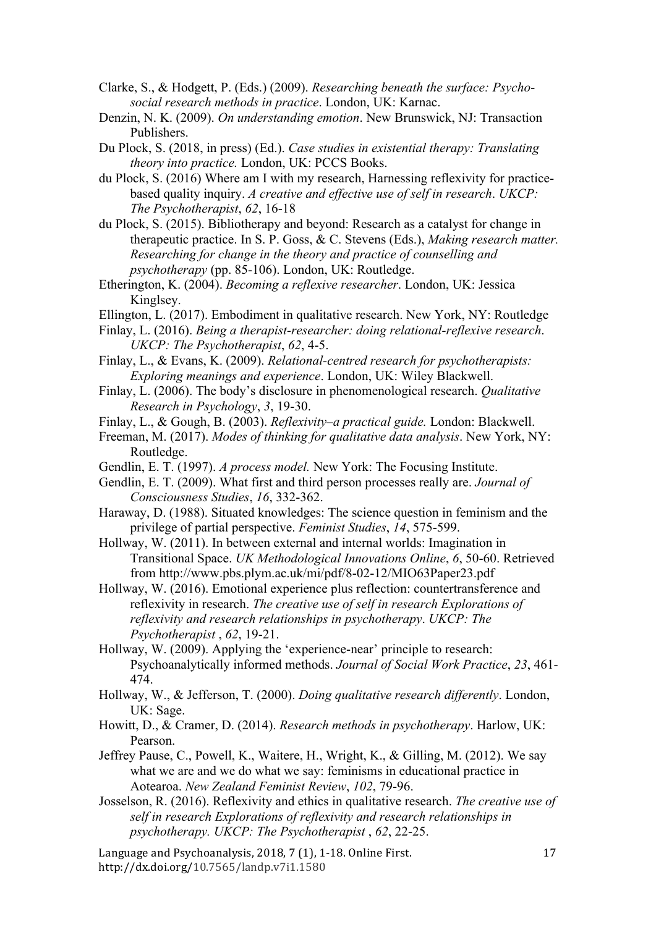Clarke, S., & Hodgett, P. (Eds.) (2009). *Researching beneath the surface: Psychosocial research methods in practice*. London, UK: Karnac.

Denzin, N. K. (2009). *On understanding emotion*. New Brunswick, NJ: Transaction Publishers.

- Du Plock, S. (2018, in press) (Ed.). *Case studies in existential therapy: Translating theory into practice.* London, UK: PCCS Books.
- du Plock, S. (2016) Where am I with my research, Harnessing reflexivity for practicebased quality inquiry. *A creative and effective use of self in research*. *UKCP: The Psychotherapist*, *62*, 16-18
- du Plock, S. (2015). Bibliotherapy and beyond: Research as a catalyst for change in therapeutic practice. In S. P. Goss, & C. Stevens (Eds.), *Making research matter. Researching for change in the theory and practice of counselling and psychotherapy* (pp. 85-106). London, UK: Routledge.
- Etherington, K. (2004). *Becoming a reflexive researcher*. London, UK: Jessica Kinglsey.
- Ellington, L. (2017). Embodiment in qualitative research. New York, NY: Routledge
- Finlay, L. (2016). *Being a therapist-researcher: doing relational-reflexive research*. *UKCP: The Psychotherapist*, *62*, 4-5.
- Finlay, L., & Evans, K. (2009). *Relational-centred research for psychotherapists: Exploring meanings and experience*. London, UK: Wiley Blackwell.
- Finlay, L. (2006). The body's disclosure in phenomenological research. *Qualitative Research in Psychology*, *3*, 19-30.
- Finlay, L., & Gough, B. (2003). *Reflexivity–a practical guide.* London: Blackwell.
- Freeman, M. (2017). *Modes of thinking for qualitative data analysis*. New York, NY: Routledge.
- Gendlin, E. T. (1997). *A process model.* New York: The Focusing Institute.
- Gendlin, E. T. (2009). What first and third person processes really are. *Journal of Consciousness Studies*, *16*, 332-362.
- Haraway, D. (1988). Situated knowledges: The science question in feminism and the privilege of partial perspective. *Feminist Studies*, *14*, 575-599.
- Hollway, W. (2011). In between external and internal worlds: Imagination in Transitional Space. *UK Methodological Innovations Online*, *6*, 50-60. Retrieved from http://www.pbs.plym.ac.uk/mi/pdf/8-02-12/MIO63Paper23.pdf
- Hollway, W. (2016). Emotional experience plus reflection: countertransference and reflexivity in research. *The creative use of self in research Explorations of reflexivity and research relationships in psychotherapy*. *UKCP: The Psychotherapist* , *62*, 19-21.
- Hollway, W. (2009). Applying the 'experience-near' principle to research: Psychoanalytically informed methods. *Journal of Social Work Practice*, *23*, 461- 474.
- Hollway, W., & Jefferson, T. (2000). *Doing qualitative research differently*. London, UK: Sage.
- Howitt, D., & Cramer, D. (2014). *Research methods in psychotherapy*. Harlow, UK: Pearson.
- Jeffrey Pause, C., Powell, K., Waitere, H., Wright, K., & Gilling, M. (2012). We say what we are and we do what we say: feminisms in educational practice in Aotearoa. *New Zealand Feminist Review*, *102*, 79-96.
- Josselson, R. (2016). Reflexivity and ethics in qualitative research. *The creative use of self in research Explorations of reflexivity and research relationships in psychotherapy. UKCP: The Psychotherapist* , *62*, 22-25.